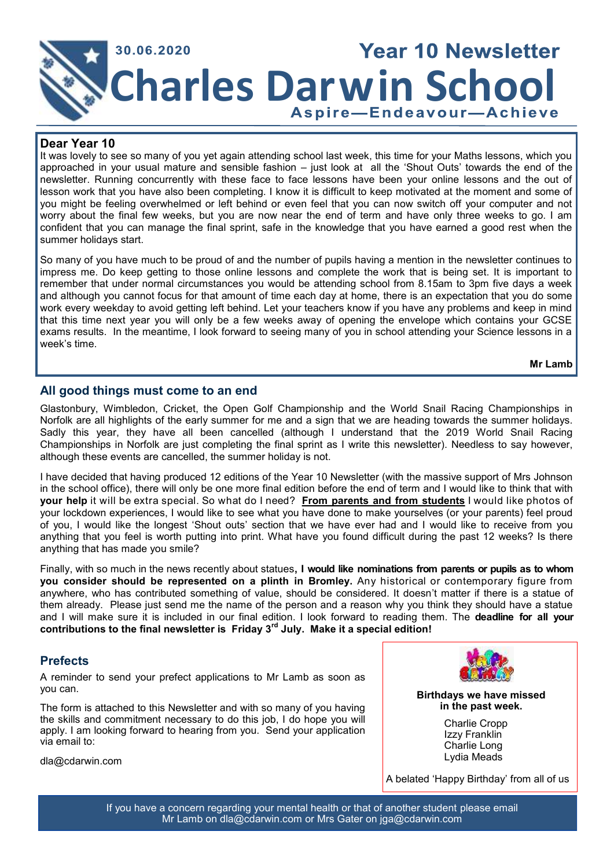

### **Dear Year 10**

It was lovely to see so many of you yet again attending school last week, this time for your Maths lessons, which you approached in your usual mature and sensible fashion – just look at all the 'Shout Outs' towards the end of the newsletter. Running concurrently with these face to face lessons have been your online lessons and the out of lesson work that you have also been completing. I know it is difficult to keep motivated at the moment and some of you might be feeling overwhelmed or left behind or even feel that you can now switch off your computer and not worry about the final few weeks, but you are now near the end of term and have only three weeks to go. I am confident that you can manage the final sprint, safe in the knowledge that you have earned a good rest when the summer holidays start.

So many of you have much to be proud of and the number of pupils having a mention in the newsletter continues to impress me. Do keep getting to those online lessons and complete the work that is being set. It is important to remember that under normal circumstances you would be attending school from 8.15am to 3pm five days a week and although you cannot focus for that amount of time each day at home, there is an expectation that you do some work every weekday to avoid getting left behind. Let your teachers know if you have any problems and keep in mind that this time next year you will only be a few weeks away of opening the envelope which contains your GCSE exams results. In the meantime, I look forward to seeing many of you in school attending your Science lessons in a week's time.

**Mr Lamb**

## **All good things must come to an end**

Glastonbury, Wimbledon, Cricket, the Open Golf Championship and the World Snail Racing Championships in Norfolk are all highlights of the early summer for me and a sign that we are heading towards the summer holidays. Sadly this year, they have all been cancelled (although I understand that the 2019 World Snail Racing Championships in Norfolk are just completing the final sprint as I write this newsletter). Needless to say however, although these events are cancelled, the summer holiday is not.

I have decided that having produced 12 editions of the Year 10 Newsletter (with the massive support of Mrs Johnson in the school office), there will only be one more final edition before the end of term and I would like to think that with **your help** it will be extra special. So what do I need? **From parents and from students** I would like photos of your lockdown experiences, I would like to see what you have done to make yourselves (or your parents) feel proud of you, I would like the longest 'Shout outs' section that we have ever had and I would like to receive from you anything that you feel is worth putting into print. What have you found difficult during the past 12 weeks? Is there anything that has made you smile?

Finally, with so much in the news recently about statues**, I would like nominations from parents or pupils as to whom you consider should be represented on a plinth in Bromley.** Any historical or contemporary figure from anywhere, who has contributed something of value, should be considered. It doesn't matter if there is a statue of them already. Please just send me the name of the person and a reason why you think they should have a statue and I will make sure it is included in our final edition. I look forward to reading them. The **deadline for all your contributions to the final newsletter is Friday 3rd July. Make it a special edition!**

# **Prefects**

A reminder to send your prefect applications to Mr Lamb as soon as you can.

The form is attached to this Newsletter and with so many of you having the skills and commitment necessary to do this job, I do hope you will apply. I am looking forward to hearing from you. Send your application via email to:

[dla@cdarwin.com](mailto:dla@cdarwin.com)



**Birthdays we have missed in the past week.** 

> Charlie Cropp Izzy Franklin Charlie Long Lydia Meads

A belated 'Happy Birthday' from all of us

If you have a concern regarding your mental health or that of another student please email Mr Lamb on dla@cdarwin.com or Mrs Gater on jga@cdarwin.com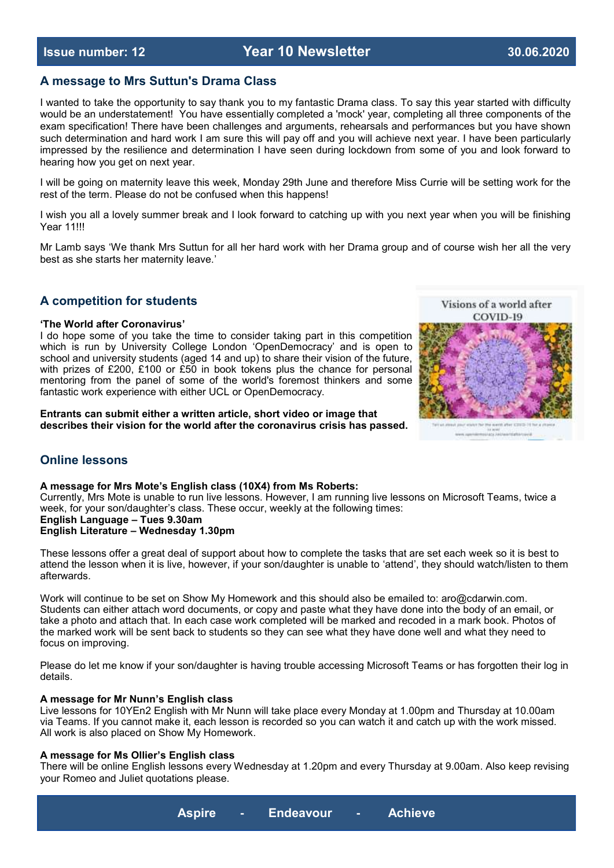## **A message to Mrs Suttun's Drama Class**

I wanted to take the opportunity to say thank you to my fantastic Drama class. To say this year started with difficulty would be an understatement! You have essentially completed a 'mock' year, completing all three components of the exam specification! There have been challenges and arguments, rehearsals and performances but you have shown such determination and hard work I am sure this will pay off and you will achieve next year. I have been particularly impressed by the resilience and determination I have seen during lockdown from some of you and look forward to hearing how you get on next year.

I will be going on maternity leave this week, Monday 29th June and therefore Miss Currie will be setting work for the rest of the term. Please do not be confused when this happens!

I wish you all a lovely summer break and I look forward to catching up with you next year when you will be finishing **Year 11!!!** 

Mr Lamb says 'We thank Mrs Suttun for all her hard work with her Drama group and of course wish her all the very best as she starts her maternity leave.'

# **A competition for students**

#### **'The World after Coronavirus'**

I do hope some of you take the time to consider taking part in this competition which is run by University College London 'OpenDemocracy' and is open to school and university students (aged 14 and up) to share their vision of the future, with prizes of £200, £100 or £50 in book tokens plus the chance for personal mentoring from the panel of some of the world's foremost thinkers and some fantastic work experience with either UCL or OpenDemocracy.

**Entrants can submit either a written article, short video or image that describes their vision for the world after the coronavirus crisis has passed.**



# **Online lessons**

#### **A message for Mrs Mote's English class (10X4) from Ms Roberts:**

Currently, Mrs Mote is unable to run live lessons. However, I am running live lessons on Microsoft Teams, twice a week, for your son/daughter's class. These occur, weekly at the following times: **English Language – Tues 9.30am**

**English Literature – Wednesday 1.30pm**

These lessons offer a great deal of support about how to complete the tasks that are set each week so it is best to attend the lesson when it is live, however, if your son/daughter is unable to 'attend', they should watch/listen to them afterwards.

Work will continue to be set on Show My Homework and this should also be emailed to: aro@cdarwin.com. Students can either attach word documents, or copy and paste what they have done into the body of an email, or take a photo and attach that. In each case work completed will be marked and recoded in a mark book. Photos of the marked work will be sent back to students so they can see what they have done well and what they need to focus on improving.

Please do let me know if your son/daughter is having trouble accessing Microsoft Teams or has forgotten their log in details.

#### **A message for Mr Nunn's English class**

Live lessons for 10YEn2 English with Mr Nunn will take place every Monday at 1.00pm and Thursday at 10.00am via Teams. If you cannot make it, each lesson is recorded so you can watch it and catch up with the work missed. All work is also placed on Show My Homework.

### **A message for Ms Ollier's English class**

There will be online English lessons every Wednesday at 1.20pm and every Thursday at 9.00am. Also keep revising your Romeo and Juliet quotations please.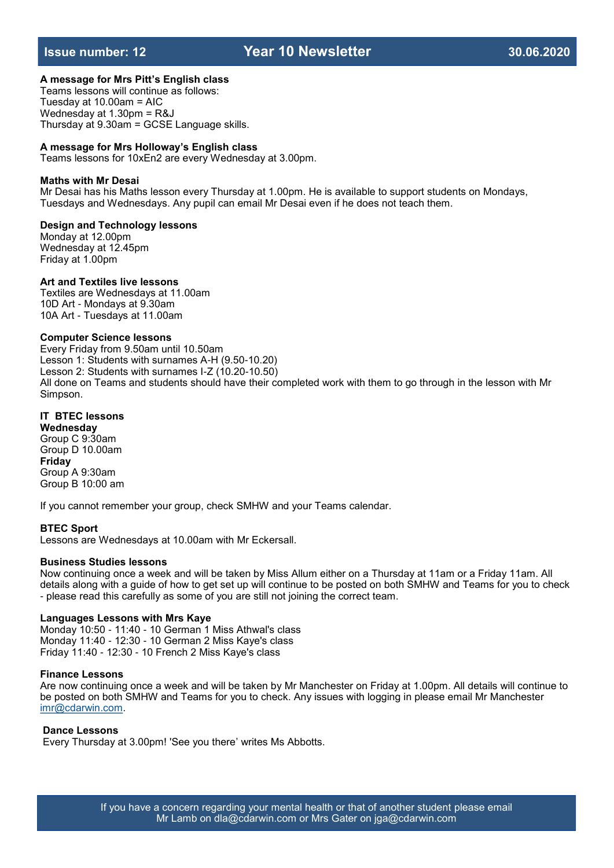# **Issue number: 12 Year 10 Newsletter 30.06.2020**

### **A message for Mrs Pitt's English class**

Teams lessons will continue as follows: Tuesday at 10.00am = AIC Wednesday at 1.30pm = R&J Thursday at 9.30am = GCSE Language skills.

#### **A message for Mrs Holloway's English class**

Teams lessons for 10xEn2 are every Wednesday at 3.00pm.

#### **Maths with Mr Desai**

Mr Desai has his Maths lesson every Thursday at 1.00pm. He is available to support students on Mondays, Tuesdays and Wednesdays. Any pupil can email Mr Desai even if he does not teach them.

#### **Design and Technology lessons**

Monday at 12.00pm Wednesday at 12.45pm Friday at 1.00pm

#### **Art and Textiles live lessons**

Textiles are Wednesdays at 11.00am 10D Art - Mondays at 9.30am 10A Art - Tuesdays at 11.00am

#### **Computer Science lessons**

Every Friday from 9.50am until 10.50am Lesson 1: Students with surnames A-H (9.50-10.20) Lesson 2: Students with surnames I-Z (10.20-10.50) All done on Teams and students should have their completed work with them to go through in the lesson with Mr Simpson.

### **IT BTEC lessons**

**Wednesday** Group C 9:30am Group D 10.00am **Friday** Group A 9:30am Group B 10:00 am

If you cannot remember your group, check SMHW and your Teams calendar.

#### **BTEC Sport**

Lessons are Wednesdays at 10.00am with Mr Eckersall.

### **Business Studies lessons**

Now continuing once a week and will be taken by Miss Allum either on a Thursday at 11am or a Friday 11am. All details along with a guide of how to get set up will continue to be posted on both SMHW and Teams for you to check - please read this carefully as some of you are still not joining the correct team.

#### **Languages Lessons with Mrs Kaye**

Monday 10:50 - 11:40 - 10 German 1 Miss Athwal's class Monday 11:40 - 12:30 - 10 German 2 Miss Kaye's class Friday 11:40 - 12:30 - 10 French 2 Miss Kaye's class

#### **Finance Lessons**

Are now continuing once a week and will be taken by Mr Manchester on Friday at 1.00pm. All details will continue to be posted on both SMHW and Teams for you to check. Any issues with logging in please email Mr Manchester [imr@cdarwin.com.](mailto:imr@cdarwin.com) 

#### **Dance Lessons**

Every Thursday at 3.00pm! 'See you there' writes Ms Abbotts.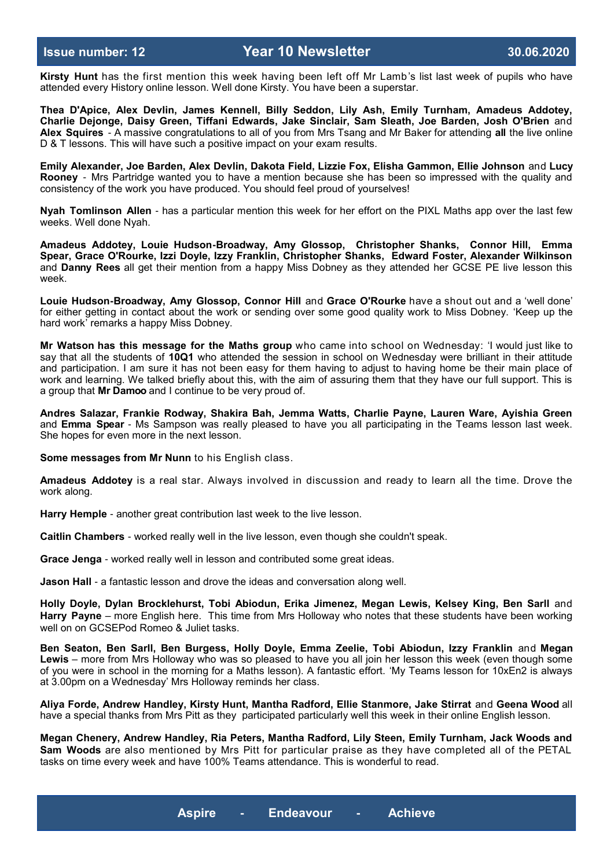**Kirsty Hunt** has the first mention this week having been left off Mr Lamb's list last week of pupils who have attended every History online lesson. Well done Kirsty. You have been a superstar.

**Thea D'Apice, Alex Devlin, James Kennell, Billy Seddon, Lily Ash, Emily Turnham, Amadeus Addotey, Charlie Dejonge, Daisy Green, Tiffani Edwards, Jake Sinclair, Sam Sleath, Joe Barden, Josh O'Brien** and **Alex Squires** - A massive congratulations to all of you from Mrs Tsang and Mr Baker for attending **all** the live online D & T lessons. This will have such a positive impact on your exam results.

**Emily Alexander, Joe Barden, Alex Devlin, Dakota Field, Lizzie Fox, Elisha Gammon, Ellie Johnson** and **Lucy Rooney** - Mrs Partridge wanted you to have a mention because she has been so impressed with the quality and consistency of the work you have produced. You should feel proud of yourselves!

**Nyah Tomlinson Allen** - has a particular mention this week for her effort on the PIXL Maths app over the last few weeks. Well done Nyah.

**Amadeus Addotey, Louie Hudson-Broadway, Amy Glossop, Christopher Shanks, Connor Hill, Emma Spear, Grace O'Rourke, Izzi Doyle, Izzy Franklin, Christopher Shanks, Edward Foster, Alexander Wilkinson**  and **Danny Rees** all get their mention from a happy Miss Dobney as they attended her GCSE PE live lesson this week.

**Louie Hudson-Broadway, Amy Glossop, Connor Hill** and **Grace O'Rourke** have a shout out and a 'well done' for either getting in contact about the work or sending over some good quality work to Miss Dobney. 'Keep up the hard work' remarks a happy Miss Dobney.

**Mr Watson has this message for the Maths group** who came into school on Wednesday: 'I would just like to say that all the students of **10Q1** who attended the session in school on Wednesday were brilliant in their attitude and participation. I am sure it has not been easy for them having to adjust to having home be their main place of work and learning. We talked briefly about this, with the aim of assuring them that they have our full support. This is a group that **Mr Damoo** and I continue to be very proud of.

**Andres Salazar, Frankie Rodway, Shakira Bah, Jemma Watts, Charlie Payne, Lauren Ware, Ayishia Green**  and **Emma Spear** - Ms Sampson was really pleased to have you all participating in the Teams lesson last week. She hopes for even more in the next lesson.

**Some messages from Mr Nunn** to his English class.

**Amadeus Addotey** is a real star. Always involved in discussion and ready to learn all the time. Drove the work along.

**Harry Hemple** - another great contribution last week to the live lesson.

**Caitlin Chambers** - worked really well in the live lesson, even though she couldn't speak.

**Grace Jenga** - worked really well in lesson and contributed some great ideas.

**Jason Hall** - a fantastic lesson and drove the ideas and conversation along well.

**Holly Doyle, Dylan Brocklehurst, Tobi Abiodun, Erika Jimenez, Megan Lewis, Kelsey King, Ben Sarll** and **Harry Payne** – more English here. This time from Mrs Holloway who notes that these students have been working well on on GCSEPod Romeo & Juliet tasks.

**Ben Seaton, Ben Sarll, Ben Burgess, Holly Doyle, Emma Zeelie, Tobi Abiodun, Izzy Franklin** and **Megan Lewis** – more from Mrs Holloway who was so pleased to have you all join her lesson this week (even though some of you were in school in the morning for a Maths lesson). A fantastic effort. 'My Teams lesson for 10xEn2 is always at 3.00pm on a Wednesday' Mrs Holloway reminds her class.

**Aliya Forde, Andrew Handley, Kirsty Hunt, Mantha Radford, Ellie Stanmore, Jake Stirrat** and **Geena Wood** all have a special thanks from Mrs Pitt as they participated particularly well this week in their online English lesson.

**Megan Chenery, Andrew Handley, Ria Peters, Mantha Radford, Lily Steen, Emily Turnham, Jack Woods and Sam Woods** are also mentioned by Mrs Pitt for particular praise as they have completed all of the PETAL tasks on time every week and have 100% Teams attendance. This is wonderful to read.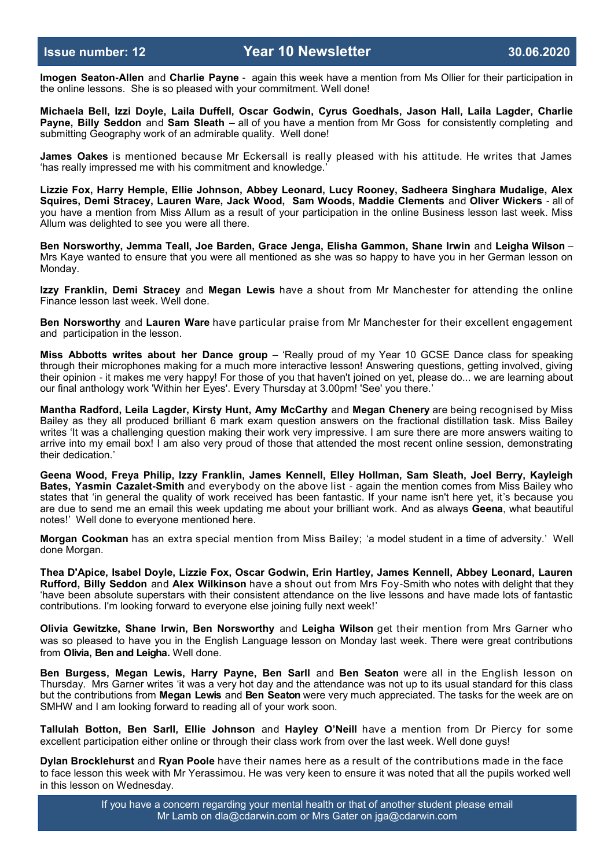**Imogen Seaton-Allen** and **Charlie Payne** - again this week have a mention from Ms Ollier for their participation in the online lessons. She is so pleased with your commitment. Well done!

**Michaela Bell, Izzi Doyle, Laila Duffell, Oscar Godwin, Cyrus Goedhals, Jason Hall, Laila Lagder, Charlie Payne, Billy Seddon** and **Sam Sleath** – all of you have a mention from Mr Goss for consistently completing and submitting Geography work of an admirable quality. Well done!

**James Oakes** is mentioned because Mr Eckersall is really pleased with his attitude. He writes that James 'has really impressed me with his commitment and knowledge.'

**Lizzie Fox, Harry Hemple, Ellie Johnson, Abbey Leonard, Lucy Rooney, Sadheera Singhara Mudalige, Alex Squires, Demi Stracey, Lauren Ware, Jack Wood, Sam Woods, Maddie Clements** and **Oliver Wickers** - all of you have a mention from Miss Allum as a result of your participation in the online Business lesson last week. Miss Allum was delighted to see you were all there.

**Ben Norsworthy, Jemma Teall, Joe Barden, Grace Jenga, Elisha Gammon, Shane Irwin** and **Leigha Wilson** – Mrs Kaye wanted to ensure that you were all mentioned as she was so happy to have you in her German lesson on Monday.

**Izzy Franklin, Demi Stracey** and **Megan Lewis** have a shout from Mr Manchester for attending the online Finance lesson last week. Well done.

**Ben Norsworthy** and **Lauren Ware** have particular praise from Mr Manchester for their excellent engagement and participation in the lesson.

**Miss Abbotts writes about her Dance group** – 'Really proud of my Year 10 GCSE Dance class for speaking through their microphones making for a much more interactive lesson! Answering questions, getting involved, giving their opinion - it makes me very happy! For those of you that haven't joined on yet, please do... we are learning about our final anthology work 'Within her Eyes'. Every Thursday at 3.00pm! 'See' you there.'

**Mantha Radford, Leila Lagder, Kirsty Hunt, Amy McCarthy** and **Megan Chenery** are being recognised by Miss Bailey as they all produced brilliant 6 mark exam question answers on the fractional distillation task. Miss Bailey writes 'It was a challenging question making their work very impressive. I am sure there are more answers waiting to arrive into my email box! I am also very proud of those that attended the most recent online session, demonstrating their dedication.'

**Geena Wood, Freya Philip, Izzy Franklin, James Kennell, Elley Hollman, Sam Sleath, Joel Berry, Kayleigh Bates, Yasmin Cazalet-Smith** and everybody on the above list - again the mention comes from Miss Bailey who states that 'in general the quality of work received has been fantastic. If your name isn't here yet, it's because you are due to send me an email this week updating me about your brilliant work. And as always **Geena**, what beautiful notes!' Well done to everyone mentioned here.

**Morgan Cookman** has an extra special mention from Miss Bailey; 'a model student in a time of adversity.' Well done Morgan.

**Thea D'Apice, Isabel Doyle, Lizzie Fox, Oscar Godwin, Erin Hartley, James Kennell, Abbey Leonard, Lauren Rufford, Billy Seddon** and **Alex Wilkinson** have a shout out from Mrs Foy-Smith who notes with delight that they 'have been absolute superstars with their consistent attendance on the live lessons and have made lots of fantastic contributions. I'm looking forward to everyone else joining fully next week!'

**Olivia Gewitzke, Shane Irwin, Ben Norsworthy** and **Leigha Wilson** get their mention from Mrs Garner who was so pleased to have you in the English Language lesson on Monday last week. There were great contributions from **Olivia, Ben and Leigha.** Well done.

**Ben Burgess, Megan Lewis, Harry Payne, Ben Sarll** and **Ben Seaton** were all in the English lesson on Thursday. Mrs Garner writes 'it was a very hot day and the attendance was not up to its usual standard for this class but the contributions from **Megan Lewis** and **Ben Seaton** were very much appreciated. The tasks for the week are on SMHW and I am looking forward to reading all of your work soon.

**Tallulah Botton, Ben Sarll, Ellie Johnson** and **Hayley O'Neill** have a mention from Dr Piercy for some excellent participation either online or through their class work from over the last week. Well done guys!

**Dylan Brocklehurst** and **Ryan Poole** have their names here as a result of the contributions made in the face to face lesson this week with Mr Yerassimou. He was very keen to ensure it was noted that all the pupils worked well in this lesson on Wednesday.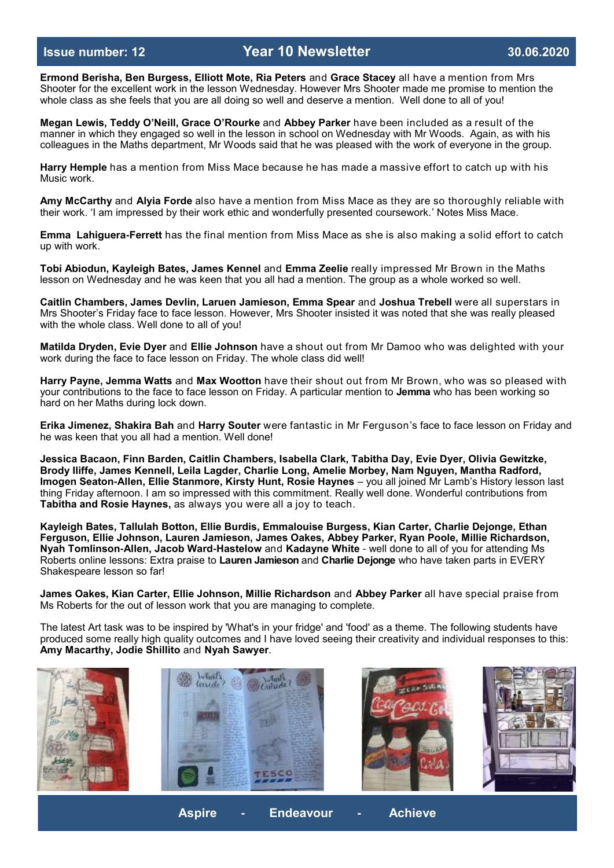**Ermond Berisha, Ben Burgess, Elliott Mote, Ria Peters** and **Grace Stacey** all have a mention from Mrs Shooter for the excellent work in the lesson Wednesday. However Mrs Shooter made me promise to mention the whole class as she feels that you are all doing so well and deserve a mention. Well done to all of you!

**Megan Lewis, Teddy O'Neill, Grace O'Rourke** and **Abbey Parker** have been included as a result of the manner in which they engaged so well in the lesson in school on Wednesday with Mr Woods. Again, as with his colleagues in the Maths department, Mr Woods said that he was pleased with the work of everyone in the group.

**Harry Hemple** has a mention from Miss Mace because he has made a massive effort to catch up with his Music work.

**Amy McCarthy** and **Alyia Forde** also have a mention from Miss Mace as they are so thoroughly reliable with their work. 'I am impressed by their work ethic and wonderfully presented coursework.' Notes Miss Mace.

**Emma Lahiguera-Ferrett** has the final mention from Miss Mace as she is also making a solid effort to catch up with work.

**Tobi Abiodun, Kayleigh Bates, James Kennel** and **Emma Zeelie** really impressed Mr Brown in the Maths lesson on Wednesday and he was keen that you all had a mention. The group as a whole worked so well.

**Caitlin Chambers, James Devlin, Laruen Jamieson, Emma Spear** and **Joshua Trebell** were all superstars in Mrs Shooter's Friday face to face lesson. However, Mrs Shooter insisted it was noted that she was really pleased with the whole class. Well done to all of you!

**Matilda Dryden, Evie Dyer** and **Ellie Johnson** have a shout out from Mr Damoo who was delighted with your work during the face to face lesson on Friday. The whole class did well!

**Harry Payne, Jemma Watts** and **Max Wootton** have their shout out from Mr Brown, who was so pleased with your contributions to the face to face lesson on Friday. A particular mention to **Jemma** who has been working so hard on her Maths during lock down.

**Erika Jimenez, Shakira Bah** and **Harry Souter** were fantastic in Mr Ferguson's face to face lesson on Friday and he was keen that you all had a mention. Well done!

**Jessica Bacaon, Finn Barden, Caitlin Chambers, Isabella Clark, Tabitha Day, Evie Dyer, Olivia Gewitzke, Brody Iliffe, James Kennell, Leila Lagder, Charlie Long, Amelie Morbey, Nam Nguyen, Mantha Radford, Imogen Seaton-Allen, Ellie Stanmore, Kirsty Hunt, Rosie Haynes** – you all joined Mr Lamb's History lesson last thing Friday afternoon. I am so impressed with this commitment. Really well done. Wonderful contributions from **Tabitha and Rosie Haynes,** as always you were all a joy to teach.

**Kayleigh Bates, Tallulah Botton, Ellie Burdis, Emmalouise Burgess, Kian Carter, Charlie Dejonge, Ethan Ferguson, Ellie Johnson, Lauren Jamieson, James Oakes, Abbey Parker, Ryan Poole, Millie Richardson, Nyah Tomlinson-Allen, Jacob Ward-Hastelow** and **Kadayne White** - well done to all of you for attending Ms Roberts online lessons: Extra praise to **Lauren Jamieson** and **Charlie Dejonge** who have taken parts in EVERY Shakespeare lesson so far!

**James Oakes, Kian Carter, Ellie Johnson, Millie Richardson** and **Abbey Parker** all have special praise from Ms Roberts for the out of lesson work that you are managing to complete.

The latest Art task was to be inspired by 'What's in your fridge' and 'food' as a theme. The following students have produced some really high quality outcomes and I have loved seeing their creativity and individual responses to this: **Amy Macarthy, Jodie Shillito** and **Nyah Sawyer**.

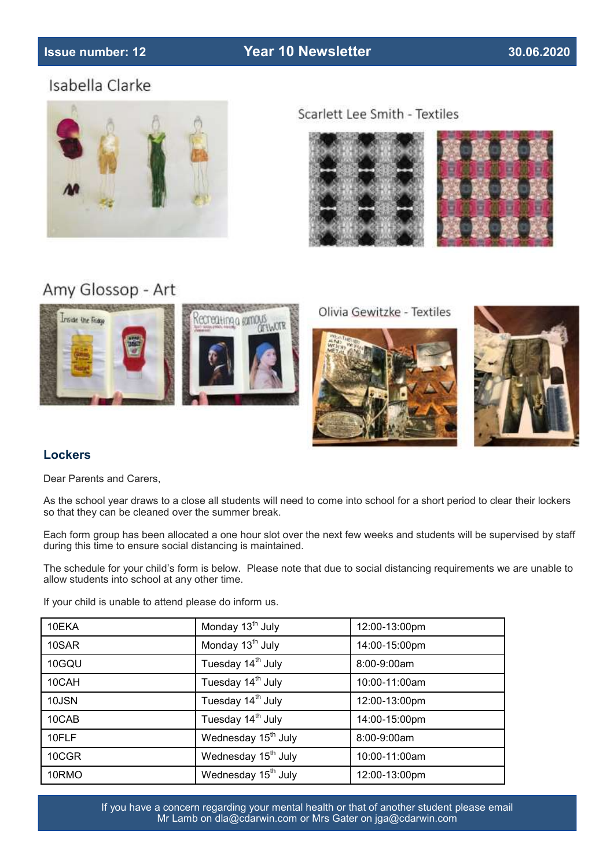# **Issue number: 12 Year 10 Newsletter 30.06.2020**

# Isabella Clarke



Scarlett Lee Smith - Textiles





# Amy Glossop - Art



Olivia Gewitzke - Textiles





# **Lockers**

Dear Parents and Carers,

As the school year draws to a close all students will need to come into school for a short period to clear their lockers so that they can be cleaned over the summer break.

Each form group has been allocated a one hour slot over the next few weeks and students will be supervised by staff during this time to ensure social distancing is maintained.

The schedule for your child's form is below. Please note that due to social distancing requirements we are unable to allow students into school at any other time.

If your child is unable to attend please do inform us.

| 10EKA | Monday 13 <sup>th</sup> July    | 12:00-13:00pm    |
|-------|---------------------------------|------------------|
| 10SAR | Monday 13 <sup>th</sup> July    | 14:00-15:00pm    |
| 10GQU | Tuesday 14 <sup>th</sup> July   | $8:00 - 9:00$ am |
| 10CAH | Tuesday 14 <sup>th</sup> July   | 10:00-11:00am    |
| 10JSN | Tuesday 14 <sup>th</sup> July   | 12:00-13:00pm    |
| 10CAB | Tuesday 14 <sup>th</sup> July   | 14:00-15:00pm    |
| 10FLF | Wednesday 15 <sup>th</sup> July | 8:00-9:00am      |
| 10CGR | Wednesday 15 <sup>th</sup> July | 10:00-11:00am    |
| 10RMO | Wednesday 15 <sup>th</sup> July | 12:00-13:00pm    |

If you have a concern regarding your mental health or that of another student please email Mr Lamb on dla@cdarwin.com or Mrs Gater on jga@cdarwin.com